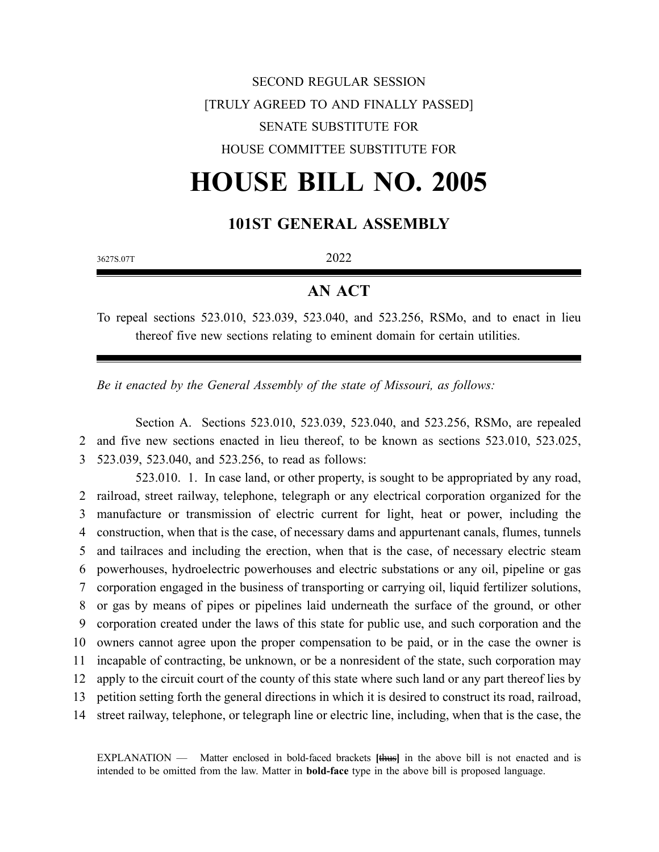## SECOND REGULAR SESSION [TRULY AGREED TO AND FINALLY PASSED] SENATE SUBSTITUTE FOR HOUSE COMMITTEE SUBSTITUTE FOR

# **HOUSE BILL NO. 2005**

## **101ST GENERAL ASSEMBLY**

3627S.07T 2022

## **AN ACT**

To repeal sections 523.010, 523.039, 523.040, and 523.256, RSMo, and to enact in lieu thereof five new sections relating to eminent domain for certain utilities.

*Be it enacted by the General Assembly of the state of Missouri, as follows:*

Section A. Sections 523.010, 523.039, 523.040, and 523.256, RSMo, are repealed 2 and five new sections enacted in lieu thereof, to be known as sections 523.010, 523.025, 3 523.039, 523.040, and 523.256, to read as follows:

523.010. 1. In case land, or other property, is sought to be appropriated by any road, railroad, street railway, telephone, telegraph or any electrical corporation organized for the manufacture or transmission of electric current for light, heat or power, including the construction, when that is the case, of necessary dams and appurtenant canals, flumes, tunnels and tailraces and including the erection, when that is the case, of necessary electric steam powerhouses, hydroelectric powerhouses and electric substations or any oil, pipeline or gas corporation engaged in the business of transporting or carrying oil, liquid fertilizer solutions, or gas by means of pipes or pipelines laid underneath the surface of the ground, or other corporation created under the laws of this state for public use, and such corporation and the owners cannot agree upon the proper compensation to be paid, or in the case the owner is incapable of contracting, be unknown, or be a nonresident of the state, such corporation may apply to the circuit court of the county of this state where such land or any part thereof lies by petition setting forth the general directions in which it is desired to construct its road, railroad, street railway, telephone, or telegraph line or electric line, including, when that is the case, the

EXPLANATION — Matter enclosed in bold-faced brackets **[**thus**]** in the above bill is not enacted and is intended to be omitted from the law. Matter in **bold-face** type in the above bill is proposed language.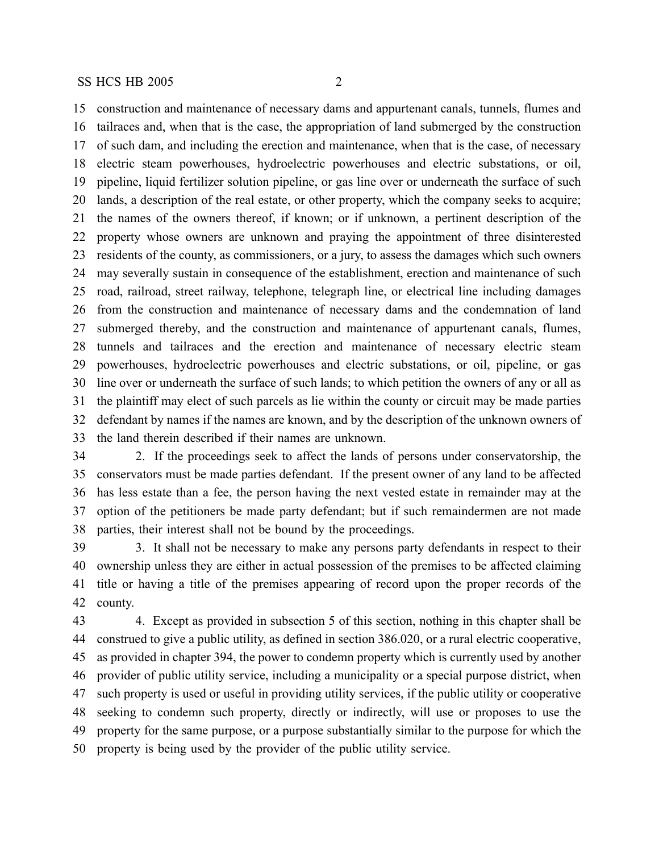construction and maintenance of necessary dams and appurtenant canals, tunnels, flumes and tailraces and, when that is the case, the appropriation of land submerged by the construction of such dam, and including the erection and maintenance, when that is the case, of necessary electric steam powerhouses, hydroelectric powerhouses and electric substations, or oil, pipeline, liquid fertilizer solution pipeline, or gas line over or underneath the surface of such lands, a description of the real estate, or other property, which the company seeks to acquire; the names of the owners thereof, if known; or if unknown, a pertinent description of the property whose owners are unknown and praying the appointment of three disinterested residents of the county, as commissioners, or a jury, to assess the damages which such owners may severally sustain in consequence of the establishment, erection and maintenance of such road, railroad, street railway, telephone, telegraph line, or electrical line including damages from the construction and maintenance of necessary dams and the condemnation of land submerged thereby, and the construction and maintenance of appurtenant canals, flumes, tunnels and tailraces and the erection and maintenance of necessary electric steam powerhouses, hydroelectric powerhouses and electric substations, or oil, pipeline, or gas line over or underneath the surface of such lands; to which petition the owners of any or all as the plaintiff may elect of such parcels as lie within the county or circuit may be made parties defendant by names if the names are known, and by the description of the unknown owners of the land therein described if their names are unknown.

 2. If the proceedings seek to affect the lands of persons under conservatorship, the conservators must be made parties defendant. If the present owner of any land to be affected has less estate than a fee, the person having the next vested estate in remainder may at the option of the petitioners be made party defendant; but if such remaindermen are not made parties, their interest shall not be bound by the proceedings.

 3. It shall not be necessary to make any persons party defendants in respect to their ownership unless they are either in actual possession of the premises to be affected claiming title or having a title of the premises appearing of record upon the proper records of the county.

 4. Except as provided in subsection 5 of this section, nothing in this chapter shall be construed to give a public utility, as defined in section 386.020, or a rural electric cooperative, as provided in chapter 394, the power to condemn property which is currently used by another provider of public utility service, including a municipality or a special purpose district, when such property is used or useful in providing utility services, if the public utility or cooperative seeking to condemn such property, directly or indirectly, will use or proposes to use the property for the same purpose, or a purpose substantially similar to the purpose for which the property is being used by the provider of the public utility service.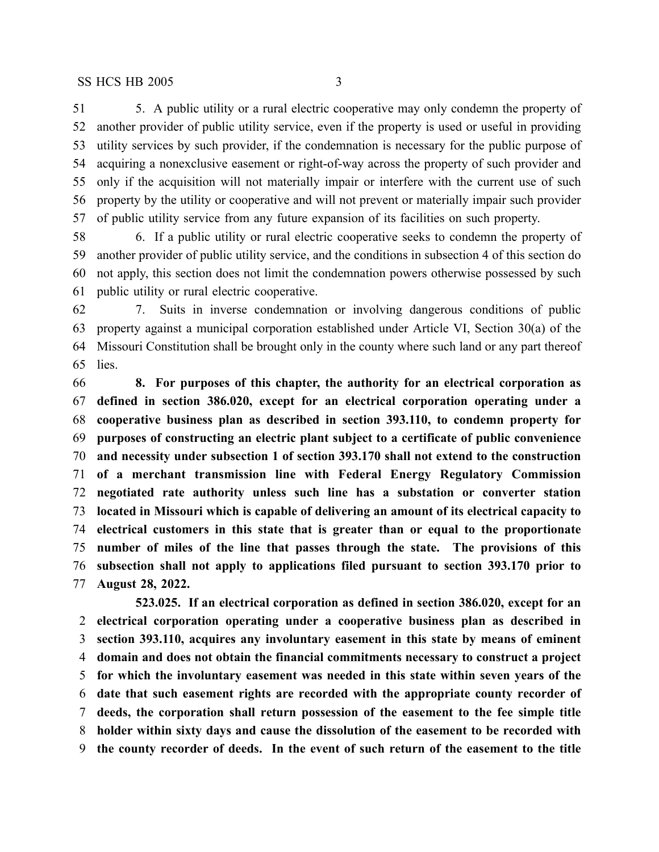5. A public utility or a rural electric cooperative may only condemn the property of another provider of public utility service, even if the property is used or useful in providing utility services by such provider, if the condemnation is necessary for the public purpose of acquiring a nonexclusive easement or right-of-way across the property of such provider and only if the acquisition will not materially impair or interfere with the current use of such property by the utility or cooperative and will not prevent or materially impair such provider of public utility service from any future expansion of its facilities on such property.

 6. If a public utility or rural electric cooperative seeks to condemn the property of another provider of public utility service, and the conditions in subsection 4 of this section do not apply, this section does not limit the condemnation powers otherwise possessed by such public utility or rural electric cooperative.

 7. Suits in inverse condemnation or involving dangerous conditions of public property against a municipal corporation established under Article VI, Section 30(a) of the Missouri Constitution shall be brought only in the county where such land or any part thereof lies.

 **8. For purposes of this chapter, the authority for an electrical corporation as defined in section 386.020, except for an electrical corporation operating under a cooperative business plan as described in section 393.110, to condemn property for purposes of constructing an electric plant subject to a certificate of public convenience and necessity under subsection 1 of section 393.170 shall not extend to the construction of a merchant transmission line with Federal Energy Regulatory Commission negotiated rate authority unless such line has a substation or converter station located in Missouri which is capable of delivering an amount of its electrical capacity to electrical customers in this state that is greater than or equal to the proportionate number of miles of the line that passes through the state. The provisions of this subsection shall not apply to applications filed pursuant to section 393.170 prior to August 28, 2022.**

**523.025. If an electrical corporation as defined in section 386.020, except for an electrical corporation operating under a cooperative business plan as described in section 393.110, acquires any involuntary easement in this state by means of eminent domain and does not obtain the financial commitments necessary to construct a project for which the involuntary easement was needed in this state within seven years of the date that such easement rights are recorded with the appropriate county recorder of deeds, the corporation shall return possession of the easement to the fee simple title holder within sixty days and cause the dissolution of the easement to be recorded with the county recorder of deeds. In the event of such return of the easement to the title**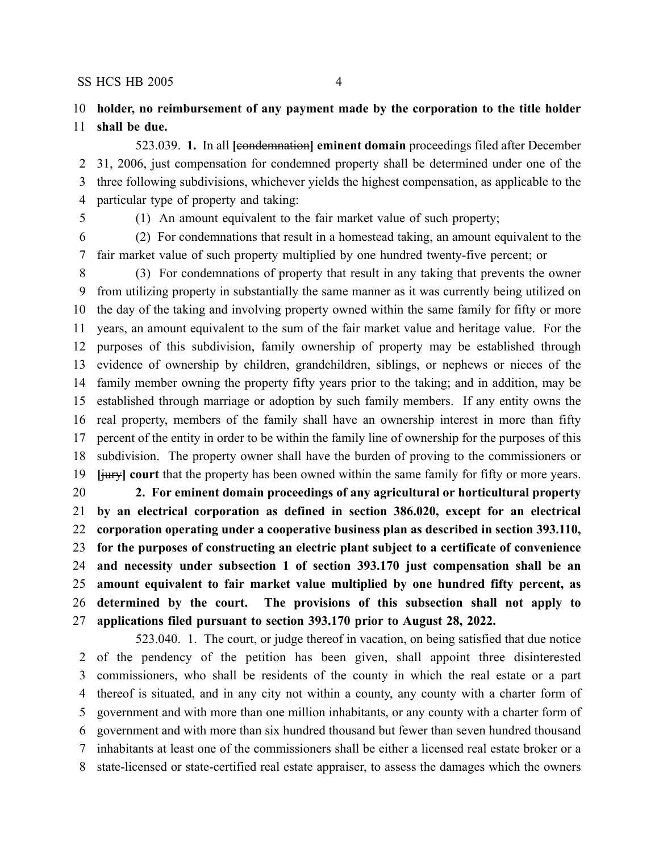### **holder, no reimbursement of any payment made by the corporation to the title holder shall be due.**

523.039. **1.** In all **[**condemnation**] eminent domain** proceedings filed after December 31, 2006, just compensation for condemned property shall be determined under one of the three following subdivisions, whichever yields the highest compensation, as applicable to the particular type of property and taking:

(1) An amount equivalent to the fair market value of such property;

 (2) For condemnations that result in a homestead taking, an amount equivalent to the fair market value of such property multiplied by one hundred twenty-five percent; or

 (3) For condemnations of property that result in any taking that prevents the owner from utilizing property in substantially the same manner as it was currently being utilized on the day of the taking and involving property owned within the same family for fifty or more years, an amount equivalent to the sum of the fair market value and heritage value. For the purposes of this subdivision, family ownership of property may be established through evidence of ownership by children, grandchildren, siblings, or nephews or nieces of the family member owning the property fifty years prior to the taking; and in addition, may be established through marriage or adoption by such family members. If any entity owns the real property, members of the family shall have an ownership interest in more than fifty percent of the entity in order to be within the family line of ownership for the purposes of this subdivision. The property owner shall have the burden of proving to the commissioners or **[**jury**] court** that the property has been owned within the same family for fifty or more years.

 **2. For eminent domain proceedings of any agricultural or horticultural property by an electrical corporation as defined in section 386.020, except for an electrical corporation operating under a cooperative business plan as described in section 393.110, for the purposes of constructing an electric plant subject to a certificate of convenience and necessity under subsection 1 of section 393.170 just compensation shall be an amount equivalent to fair market value multiplied by one hundred fifty percent, as determined by the court. The provisions of this subsection shall not apply to applications filed pursuant to section 393.170 prior to August 28, 2022.**

523.040. 1. The court, or judge thereof in vacation, on being satisfied that due notice of the pendency of the petition has been given, shall appoint three disinterested commissioners, who shall be residents of the county in which the real estate or a part thereof is situated, and in any city not within a county, any county with a charter form of government and with more than one million inhabitants, or any county with a charter form of government and with more than six hundred thousand but fewer than seven hundred thousand inhabitants at least one of the commissioners shall be either a licensed real estate broker or a state-licensed or state-certified real estate appraiser, to assess the damages which the owners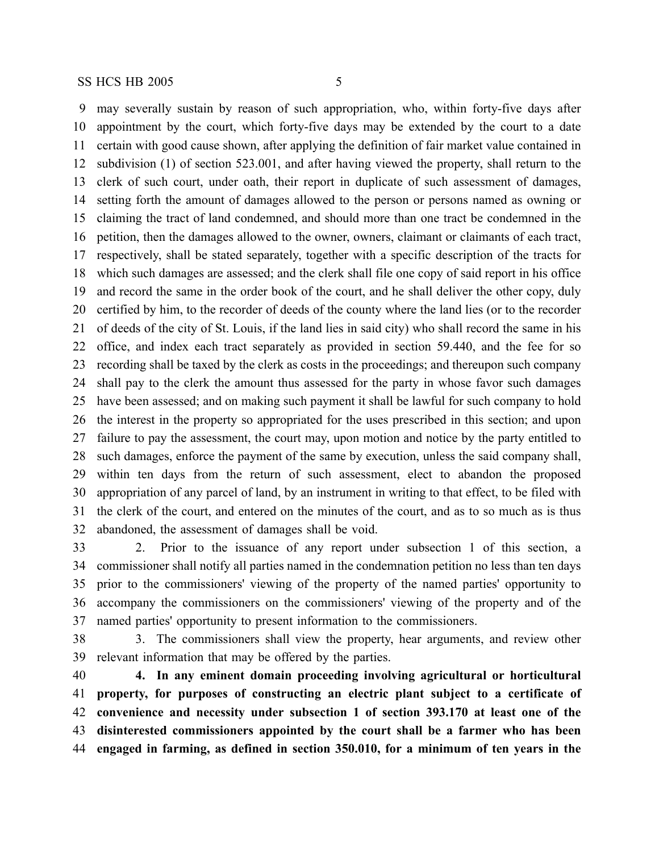may severally sustain by reason of such appropriation, who, within forty-five days after appointment by the court, which forty-five days may be extended by the court to a date certain with good cause shown, after applying the definition of fair market value contained in subdivision (1) of section 523.001, and after having viewed the property, shall return to the clerk of such court, under oath, their report in duplicate of such assessment of damages, setting forth the amount of damages allowed to the person or persons named as owning or claiming the tract of land condemned, and should more than one tract be condemned in the petition, then the damages allowed to the owner, owners, claimant or claimants of each tract, respectively, shall be stated separately, together with a specific description of the tracts for which such damages are assessed; and the clerk shall file one copy of said report in his office and record the same in the order book of the court, and he shall deliver the other copy, duly certified by him, to the recorder of deeds of the county where the land lies (or to the recorder of deeds of the city of St. Louis, if the land lies in said city) who shall record the same in his office, and index each tract separately as provided in section 59.440, and the fee for so recording shall be taxed by the clerk as costs in the proceedings; and thereupon such company shall pay to the clerk the amount thus assessed for the party in whose favor such damages have been assessed; and on making such payment it shall be lawful for such company to hold the interest in the property so appropriated for the uses prescribed in this section; and upon failure to pay the assessment, the court may, upon motion and notice by the party entitled to such damages, enforce the payment of the same by execution, unless the said company shall, within ten days from the return of such assessment, elect to abandon the proposed appropriation of any parcel of land, by an instrument in writing to that effect, to be filed with the clerk of the court, and entered on the minutes of the court, and as to so much as is thus abandoned, the assessment of damages shall be void.

 2. Prior to the issuance of any report under subsection 1 of this section, a commissioner shall notify all parties named in the condemnation petition no less than ten days prior to the commissioners' viewing of the property of the named parties' opportunity to accompany the commissioners on the commissioners' viewing of the property and of the named parties' opportunity to present information to the commissioners.

 3. The commissioners shall view the property, hear arguments, and review other relevant information that may be offered by the parties.

 **4. In any eminent domain proceeding involving agricultural or horticultural property, for purposes of constructing an electric plant subject to a certificate of convenience and necessity under subsection 1 of section 393.170 at least one of the disinterested commissioners appointed by the court shall be a farmer who has been engaged in farming, as defined in section 350.010, for a minimum of ten years in the**